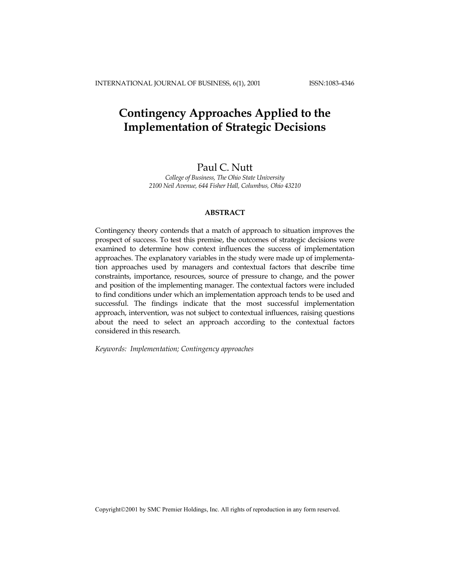# **Contingency Approaches Applied to the Implementation of Strategic Decisions**

# Paul C. Nutt

*College of Business, The Ohio State University 2100 Neil Avenue, 644 Fisher Hall, Columbus, Ohio 43210* 

# **ABSTRACT**

Contingency theory contends that a match of approach to situation improves the prospect of success. To test this premise, the outcomes of strategic decisions were examined to determine how context influences the success of implementation approaches. The explanatory variables in the study were made up of implementation approaches used by managers and contextual factors that describe time constraints, importance, resources, source of pressure to change, and the power and position of the implementing manager. The contextual factors were included to find conditions under which an implementation approach tends to be used and successful. The findings indicate that the most successful implementation approach, intervention, was not subject to contextual influences, raising questions about the need to select an approach according to the contextual factors considered in this research.

*Keywords: Implementation; Contingency approaches* 

Copyright©2001 by SMC Premier Holdings, Inc. All rights of reproduction in any form reserved.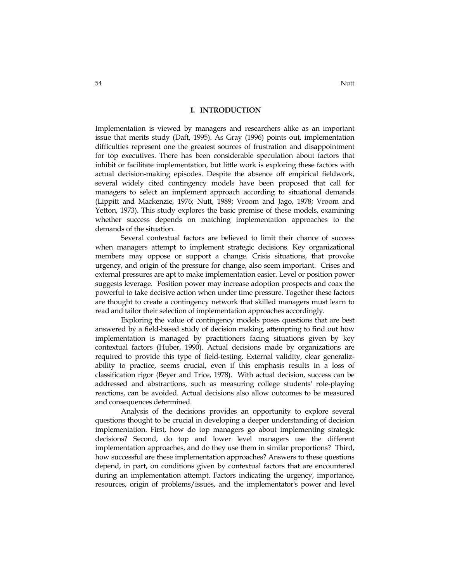#### **I. INTRODUCTION**

Implementation is viewed by managers and researchers alike as an important issue that merits study (Daft, 1995). As Gray (1996) points out, implementation difficulties represent one the greatest sources of frustration and disappointment for top executives. There has been considerable speculation about factors that inhibit or facilitate implementation, but little work is exploring these factors with actual decision-making episodes. Despite the absence off empirical fieldwork, several widely cited contingency models have been proposed that call for managers to select an implement approach according to situational demands (Lippitt and Mackenzie, 1976; Nutt, 1989; Vroom and Jago, 1978; Vroom and Yetton, 1973). This study explores the basic premise of these models, examining whether success depends on matching implementation approaches to the demands of the situation.

Several contextual factors are believed to limit their chance of success when managers attempt to implement strategic decisions. Key organizational members may oppose or support a change. Crisis situations, that provoke urgency, and origin of the pressure for change, also seem important. Crises and external pressures are apt to make implementation easier. Level or position power suggests leverage. Position power may increase adoption prospects and coax the powerful to take decisive action when under time pressure. Together these factors are thought to create a contingency network that skilled managers must learn to read and tailor their selection of implementation approaches accordingly.

Exploring the value of contingency models poses questions that are best answered by a field-based study of decision making, attempting to find out how implementation is managed by practitioners facing situations given by key contextual factors (Huber, 1990). Actual decisions made by organizations are required to provide this type of field-testing. External validity, clear generalizability to practice, seems crucial, even if this emphasis results in a loss of classification rigor (Beyer and Trice, 1978). With actual decision, success can be addressed and abstractions, such as measuring college students' role-playing reactions, can be avoided. Actual decisions also allow outcomes to be measured and consequences determined.

Analysis of the decisions provides an opportunity to explore several questions thought to be crucial in developing a deeper understanding of decision implementation. First, how do top managers go about implementing strategic decisions? Second, do top and lower level managers use the different implementation approaches, and do they use them in similar proportions? Third, how successful are these implementation approaches? Answers to these questions depend, in part, on conditions given by contextual factors that are encountered during an implementation attempt. Factors indicating the urgency, importance, resources, origin of problems/issues, and the implementator's power and level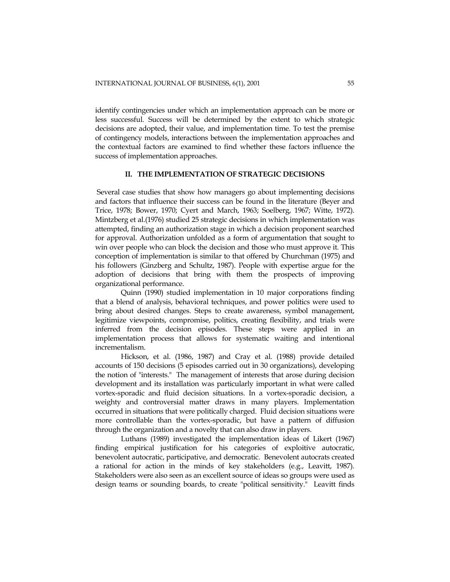identify contingencies under which an implementation approach can be more or less successful. Success will be determined by the extent to which strategic decisions are adopted, their value, and implementation time. To test the premise of contingency models, interactions between the implementation approaches and the contextual factors are examined to find whether these factors influence the success of implementation approaches.

### **II. THE IMPLEMENTATION OF STRATEGIC DECISIONS**

 Several case studies that show how managers go about implementing decisions and factors that influence their success can be found in the literature (Beyer and Trice, 1978; Bower, 1970; Cyert and March, 1963; Soelberg, 1967; Witte, 1972). Mintzberg et al.(1976) studied 25 strategic decisions in which implementation was attempted, finding an authorization stage in which a decision proponent searched for approval. Authorization unfolded as a form of argumentation that sought to win over people who can block the decision and those who must approve it. This conception of implementation is similar to that offered by Churchman (1975) and his followers (Ginzberg and Schultz, 1987). People with expertise argue for the adoption of decisions that bring with them the prospects of improving organizational performance.

Quinn (1990) studied implementation in 10 major corporations finding that a blend of analysis, behavioral techniques, and power politics were used to bring about desired changes. Steps to create awareness, symbol management, legitimize viewpoints, compromise, politics, creating flexibility, and trials were inferred from the decision episodes. These steps were applied in an implementation process that allows for systematic waiting and intentional incrementalism.

Hickson, et al. (1986, 1987) and Cray et al. (1988) provide detailed accounts of 150 decisions (5 episodes carried out in 30 organizations), developing the notion of "interests." The management of interests that arose during decision development and its installation was particularly important in what were called vortex-sporadic and fluid decision situations. In a vortex-sporadic decision, a weighty and controversial matter draws in many players. Implementation occurred in situations that were politically charged. Fluid decision situations were more controllable than the vortex-sporadic, but have a pattern of diffusion through the organization and a novelty that can also draw in players.

Luthans (1989) investigated the implementation ideas of Likert (1967) finding empirical justification for his categories of exploitive autocratic, benevolent autocratic, participative, and democratic. Benevolent autocrats created a rational for action in the minds of key stakeholders (e.g., Leavitt, 1987). Stakeholders were also seen as an excellent source of ideas so groups were used as design teams or sounding boards, to create "political sensitivity." Leavitt finds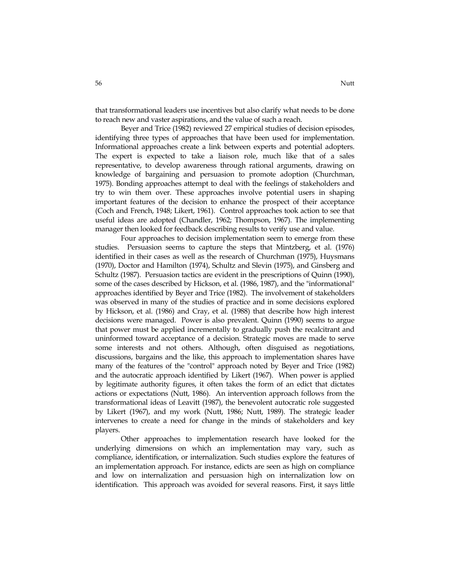that transformational leaders use incentives but also clarify what needs to be done to reach new and vaster aspirations, and the value of such a reach.

Beyer and Trice (1982) reviewed 27 empirical studies of decision episodes, identifying three types of approaches that have been used for implementation. Informational approaches create a link between experts and potential adopters. The expert is expected to take a liaison role, much like that of a sales representative, to develop awareness through rational arguments, drawing on knowledge of bargaining and persuasion to promote adoption (Churchman, 1975). Bonding approaches attempt to deal with the feelings of stakeholders and try to win them over. These approaches involve potential users in shaping important features of the decision to enhance the prospect of their acceptance (Coch and French, 1948; Likert, 1961). Control approaches took action to see that useful ideas are adopted (Chandler, 1962; Thompson, 1967). The implementing manager then looked for feedback describing results to verify use and value.

Four approaches to decision implementation seem to emerge from these studies. Persuasion seems to capture the steps that Mintzberg, et al. (1976) identified in their cases as well as the research of Churchman (1975), Huysmans (1970), Doctor and Hamilton (1974), Schultz and Slevin (1975), and Ginsberg and Schultz (1987). Persuasion tactics are evident in the prescriptions of Quinn (1990), some of the cases described by Hickson, et al. (1986, 1987), and the "informational" approaches identified by Beyer and Trice (1982). The involvement of stakeholders was observed in many of the studies of practice and in some decisions explored by Hickson, et al. (1986) and Cray, et al. (1988) that describe how high interest decisions were managed. Power is also prevalent. Quinn (1990) seems to argue that power must be applied incrementally to gradually push the recalcitrant and uninformed toward acceptance of a decision. Strategic moves are made to serve some interests and not others. Although, often disguised as negotiations, discussions, bargains and the like, this approach to implementation shares have many of the features of the "control" approach noted by Beyer and Trice (1982) and the autocratic approach identified by Likert (1967). When power is applied by legitimate authority figures, it often takes the form of an edict that dictates actions or expectations (Nutt, 1986). An intervention approach follows from the transformational ideas of Leavitt (1987), the benevolent autocratic role suggested by Likert (1967), and my work (Nutt, 1986; Nutt, 1989). The strategic leader intervenes to create a need for change in the minds of stakeholders and key players.

Other approaches to implementation research have looked for the underlying dimensions on which an implementation may vary, such as compliance, identification, or internalization. Such studies explore the features of an implementation approach. For instance, edicts are seen as high on compliance and low on internalization and persuasion high on internalization low on identification. This approach was avoided for several reasons. First, it says little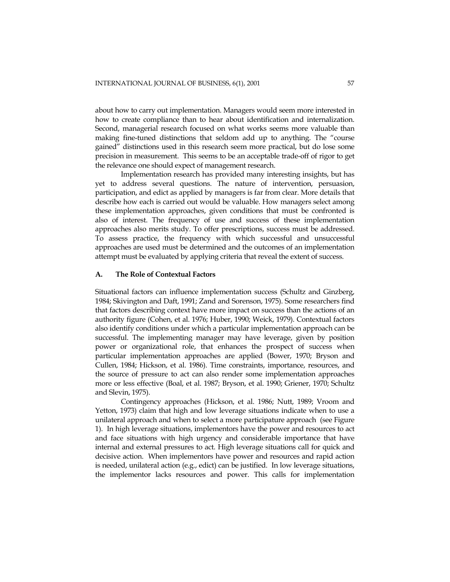about how to carry out implementation. Managers would seem more interested in how to create compliance than to hear about identification and internalization. Second, managerial research focused on what works seems more valuable than making fine-tuned distinctions that seldom add up to anything. The "course gained" distinctions used in this research seem more practical, but do lose some precision in measurement. This seems to be an acceptable trade-off of rigor to get the relevance one should expect of management research.

Implementation research has provided many interesting insights, but has yet to address several questions. The nature of intervention, persuasion, participation, and edict as applied by managers is far from clear. More details that describe how each is carried out would be valuable. How managers select among these implementation approaches, given conditions that must be confronted is also of interest. The frequency of use and success of these implementation approaches also merits study. To offer prescriptions, success must be addressed. To assess practice, the frequency with which successful and unsuccessful approaches are used must be determined and the outcomes of an implementation attempt must be evaluated by applying criteria that reveal the extent of success.

#### **A. The Role of Contextual Factors**

Situational factors can influence implementation success (Schultz and Ginzberg, 1984; Skivington and Daft, 1991; Zand and Sorenson, 1975). Some researchers find that factors describing context have more impact on success than the actions of an authority figure (Cohen, et al. 1976; Huber, 1990; Weick, 1979). Contextual factors also identify conditions under which a particular implementation approach can be successful. The implementing manager may have leverage, given by position power or organizational role, that enhances the prospect of success when particular implementation approaches are applied (Bower, 1970; Bryson and Cullen, 1984; Hickson, et al. 1986). Time constraints, importance, resources, and the source of pressure to act can also render some implementation approaches more or less effective (Boal, et al. 1987; Bryson, et al. 1990; Griener, 1970; Schultz and Slevin, 1975).

Contingency approaches (Hickson, et al. 1986; Nutt, 1989; Vroom and Yetton, 1973) claim that high and low leverage situations indicate when to use a unilateral approach and when to select a more participature approach (see Figure 1). In high leverage situations, implementors have the power and resources to act and face situations with high urgency and considerable importance that have internal and external pressures to act. High leverage situations call for quick and decisive action. When implementors have power and resources and rapid action is needed, unilateral action (e.g., edict) can be justified. In low leverage situations, the implementor lacks resources and power. This calls for implementation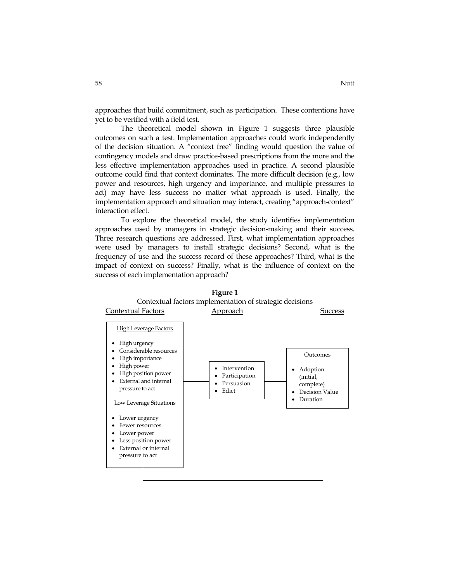approaches that build commitment, such as participation. These contentions have yet to be verified with a field test.

The theoretical model shown in Figure 1 suggests three plausible outcomes on such a test. Implementation approaches could work independently of the decision situation. A "context free" finding would question the value of contingency models and draw practice-based prescriptions from the more and the less effective implementation approaches used in practice. A second plausible outcome could find that context dominates. The more difficult decision (e.g., low power and resources, high urgency and importance, and multiple pressures to act) may have less success no matter what approach is used. Finally, the implementation approach and situation may interact, creating "approach-context" interaction effect.

To explore the theoretical model, the study identifies implementation approaches used by managers in strategic decision-making and their success. Three research questions are addressed. First, what implementation approaches were used by managers to install strategic decisions? Second, what is the frequency of use and the success record of these approaches? Third, what is the impact of context on success? Finally, what is the influence of context on the success of each implementation approach?



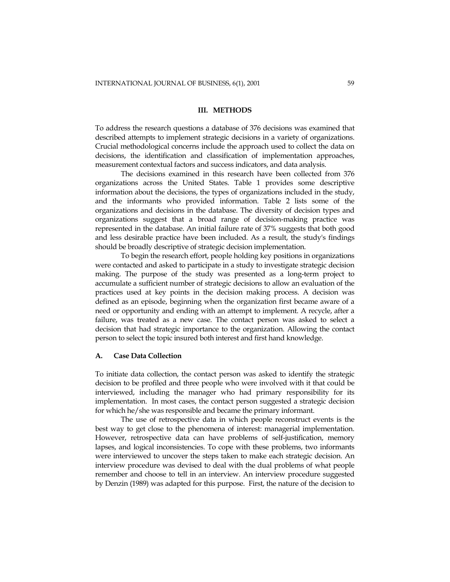#### **III. METHODS**

To address the research questions a database of 376 decisions was examined that described attempts to implement strategic decisions in a variety of organizations. Crucial methodological concerns include the approach used to collect the data on decisions, the identification and classification of implementation approaches, measurement contextual factors and success indicators, and data analysis.

The decisions examined in this research have been collected from 376 organizations across the United States. Table 1 provides some descriptive information about the decisions, the types of organizations included in the study, and the informants who provided information. Table 2 lists some of the organizations and decisions in the database. The diversity of decision types and organizations suggest that a broad range of decision-making practice was represented in the database. An initial failure rate of 37% suggests that both good and less desirable practice have been included. As a result, the study's findings should be broadly descriptive of strategic decision implementation.

To begin the research effort, people holding key positions in organizations were contacted and asked to participate in a study to investigate strategic decision making. The purpose of the study was presented as a long-term project to accumulate a sufficient number of strategic decisions to allow an evaluation of the practices used at key points in the decision making process. A decision was defined as an episode, beginning when the organization first became aware of a need or opportunity and ending with an attempt to implement. A recycle, after a failure, was treated as a new case. The contact person was asked to select a decision that had strategic importance to the organization. Allowing the contact person to select the topic insured both interest and first hand knowledge.

# **A. Case Data Collection**

To initiate data collection, the contact person was asked to identify the strategic decision to be profiled and three people who were involved with it that could be interviewed, including the manager who had primary responsibility for its implementation. In most cases, the contact person suggested a strategic decision for which he/she was responsible and became the primary informant.

The use of retrospective data in which people reconstruct events is the best way to get close to the phenomena of interest: managerial implementation. However, retrospective data can have problems of self-justification, memory lapses, and logical inconsistencies. To cope with these problems, two informants were interviewed to uncover the steps taken to make each strategic decision. An interview procedure was devised to deal with the dual problems of what people remember and choose to tell in an interview. An interview procedure suggested by Denzin (1989) was adapted for this purpose. First, the nature of the decision to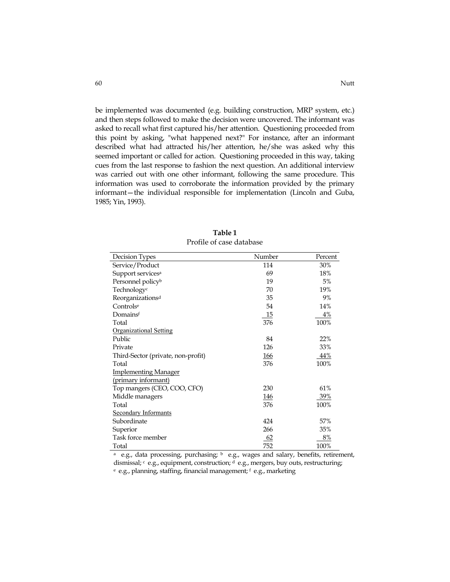be implemented was documented (e.g. building construction, MRP system, etc.) and then steps followed to make the decision were uncovered. The informant was asked to recall what first captured his/her attention. Questioning proceeded from this point by asking, "what happened next?" For instance, after an informant described what had attracted his/her attention, he/she was asked why this seemed important or called for action. Questioning proceeded in this way, taking cues from the last response to fashion the next question. An additional interview was carried out with one other informant, following the same procedure. This information was used to corroborate the information provided by the primary informant—the individual responsible for implementation (Lincoln and Guba, 1985; Yin, 1993).

| Decision Types                     | Number     | Percent    |
|------------------------------------|------------|------------|
| Service/Product                    | 114        | 30%        |
| Support services <sup>a</sup>      | 69         | 18%        |
| Personnel policy <sup>b</sup>      | 19         | 5%         |
| Technology <sup>c</sup>            | 70         | 19%        |
| Reorganizations <sup>d</sup>       | 35         | 9%         |
| Controlse                          | 54         | 14%        |
| Domainsf                           | 15         | 4%         |
| Total                              | 376        | 100%       |
| <b>Organizational Setting</b>      |            |            |
| Public                             | 84         | 22%        |
| Private                            | 126        | 33%        |
| Third-Sector (private, non-profit) | 166        | 44%        |
| Total                              | 376        | 100%       |
| <b>Implementing Manager</b>        |            |            |
| (primary informant)                |            |            |
| Top mangers (CEO, COO, CFO)        | 230        | 61%        |
| Middle managers                    | <u>146</u> | <u>39%</u> |
| Total                              | 376        | 100%       |
| <b>Secondary Informants</b>        |            |            |
| Subordinate                        | 424        | 57%        |
| Superior                           | 266        | 35%        |
| Task force member                  | 62         | 8%         |
| Total                              | 752        | 100%       |

**Table 1**  Profile of case database

<sup>a</sup> e.g., data processing, purchasing;  $\frac{b}{c}$  e.g., wages and salary, benefits, retirement, dismissal; c e.g., equipment, construction; d e.g., mergers, buy outs, restructuring; e e.g., planning, staffing, financial management; <sup>f</sup> e.g., marketing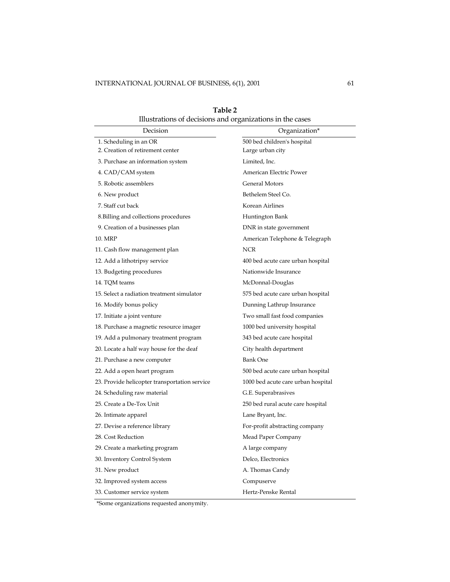| Decision                                      | Organization*                      |
|-----------------------------------------------|------------------------------------|
| 1. Scheduling in an OR                        | 500 bed children's hospital        |
| 2. Creation of retirement center              | Large urban city                   |
| 3. Purchase an information system             | Limited, Inc.                      |
| 4. CAD/CAM system                             | American Electric Power            |
| 5. Robotic assemblers                         | General Motors                     |
| 6. New product                                | Bethelem Steel Co.                 |
| 7. Staff cut back                             | Korean Airlines                    |
| 8. Billing and collections procedures         | Huntington Bank                    |
| 9. Creation of a businesses plan              | DNR in state government            |
| 10. MRP                                       | American Telephone & Telegraph     |
| 11. Cash flow management plan                 | <b>NCR</b>                         |
| 12. Add a lithotripsy service                 | 400 bed acute care urban hospital  |
| 13. Budgeting procedures                      | Nationwide Insurance               |
| 14. TQM teams                                 | McDonnal-Douglas                   |
| 15. Select a radiation treatment simulator    | 575 bed acute care urban hospital  |
| 16. Modify bonus policy                       | Dunning Lathrup Insurance          |
| 17. Initiate a joint venture                  | Two small fast food companies      |
| 18. Purchase a magnetic resource imager       | 1000 bed university hospital       |
| 19. Add a pulmonary treatment program         | 343 bed acute care hospital        |
| 20. Locate a half way house for the deaf      | City health department             |
| 21. Purchase a new computer                   | <b>Bank One</b>                    |
| 22. Add a open heart program                  | 500 bed acute care urban hospital  |
| 23. Provide helicopter transportation service | 1000 bed acute care urban hospital |
| 24. Scheduling raw material                   | G.E. Superabrasives                |
| 25. Create a De-Tox Unit                      | 250 bed rural acute care hospital  |
| 26. Intimate apparel                          | Lane Bryant, Inc.                  |
| 27. Devise a reference library                | For-profit abstracting company     |
| 28. Cost Reduction                            | Mead Paper Company                 |
| 29. Create a marketing program                | A large company                    |
| 30. Inventory Control System                  | Delco, Electronics                 |
| 31. New product                               | A. Thomas Candy                    |
| 32. Improved system access                    | Compuserve                         |
| 33. Customer service system                   | Hertz-Penske Rental                |

**Table 2**  Illustrations of decisions and organizations in the cases

\*Some organizations requested anonymity.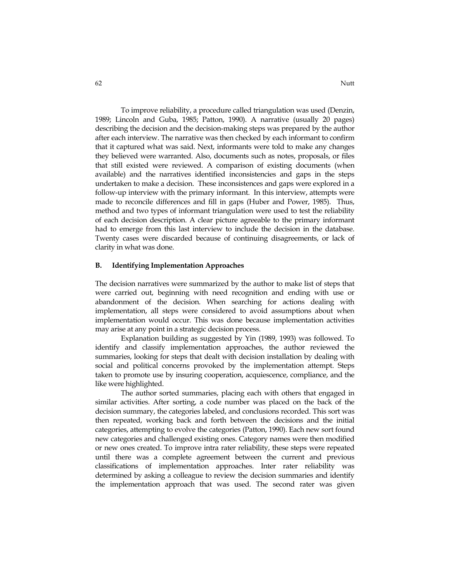To improve reliability, a procedure called triangulation was used (Denzin, 1989; Lincoln and Guba, 1985; Patton, 1990). A narrative (usually 20 pages) describing the decision and the decision-making steps was prepared by the author after each interview. The narrative was then checked by each informant to confirm that it captured what was said. Next, informants were told to make any changes they believed were warranted. Also, documents such as notes, proposals, or files that still existed were reviewed. A comparison of existing documents (when available) and the narratives identified inconsistencies and gaps in the steps undertaken to make a decision. These inconsistences and gaps were explored in a follow-up interview with the primary informant. In this interview, attempts were made to reconcile differences and fill in gaps (Huber and Power, 1985). Thus, method and two types of informant triangulation were used to test the reliability of each decision description. A clear picture agreeable to the primary informant had to emerge from this last interview to include the decision in the database. Twenty cases were discarded because of continuing disagreements, or lack of clarity in what was done.

#### **B. Identifying Implementation Approaches**

The decision narratives were summarized by the author to make list of steps that were carried out, beginning with need recognition and ending with use or abandonment of the decision. When searching for actions dealing with implementation, all steps were considered to avoid assumptions about when implementation would occur. This was done because implementation activities may arise at any point in a strategic decision process.

Explanation building as suggested by Yin (1989, 1993) was followed. To identify and classify implementation approaches, the author reviewed the summaries, looking for steps that dealt with decision installation by dealing with social and political concerns provoked by the implementation attempt. Steps taken to promote use by insuring cooperation, acquiescence, compliance, and the like were highlighted.

The author sorted summaries, placing each with others that engaged in similar activities. After sorting, a code number was placed on the back of the decision summary, the categories labeled, and conclusions recorded. This sort was then repeated, working back and forth between the decisions and the initial categories, attempting to evolve the categories (Patton, 1990). Each new sort found new categories and challenged existing ones. Category names were then modified or new ones created. To improve intra rater reliability, these steps were repeated until there was a complete agreement between the current and previous classifications of implementation approaches. Inter rater reliability was determined by asking a colleague to review the decision summaries and identify the implementation approach that was used. The second rater was given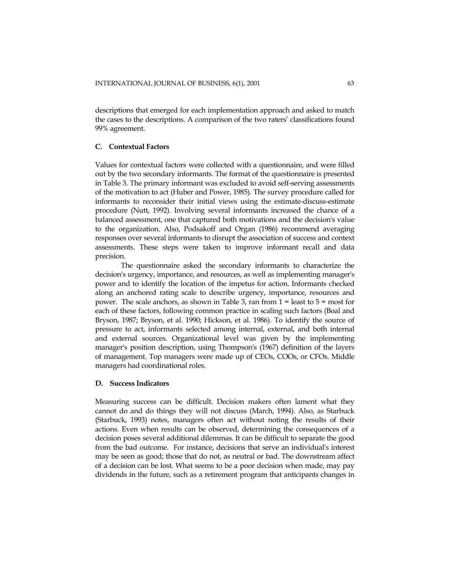descriptions that emerged for each implementation approach and asked to match the cases to the descriptions. A comparison of the two raters' classifications found 99% agreement.

# **C. Contextual Factors**

Values for contextual factors were collected with a questionnaire, and were filled out by the two secondary informants. The format of the questionnaire is presented in Table 3. The primary informant was excluded to avoid self-serving assessments of the motivation to act (Huber and Power, 1985). The survey procedure called for informants to reconsider their initial views using the estimate-discuss-estimate procedure (Nutt, 1992). Involving several informants increased the chance of a balanced assessment, one that captured both motivations and the decision's value to the organization. Also, Podsakoff and Organ (1986) recommend averaging responses over several informants to disrupt the association of success and context assessments. These steps were taken to improve informant recall and data precision.

The questionnaire asked the secondary informants to characterize the decision's urgency, importance, and resources, as well as implementing manager's power and to identify the location of the impetus for action. Informants checked along an anchored rating scale to describe urgency, importance, resources and power. The scale anchors, as shown in Table 3, ran from  $1 =$  least to  $5 =$  most for each of these factors, following common practice in scaling such factors (Boal and Bryson, 1987; Bryson, et al. 1990; Hickson, et al. 1986). To identify the source of pressure to act, informants selected among internal, external, and both internal and external sources. Organizational level was given by the implementing manager's position description, using Thompson's (1967) definition of the layers of management. Top managers were made up of CEOs, COOs, or CFOs. Middle managers had coordinational roles.

# **D. Success Indicators**

Measuring success can be difficult. Decision makers often lament what they cannot do and do things they will not discuss (March, 1994). Also, as Starbuck (Starbuck, 1993) notes, managers often act without noting the results of their actions. Even when results can be observed, determining the consequences of a decision poses several additional dilemmas. It can be difficult to separate the good from the bad outcome. For instance, decisions that serve an individual's interest may be seen as good; those that do not, as neutral or bad. The downstream affect of a decision can be lost. What seems to be a poor decision when made, may pay dividends in the future, such as a retirement program that anticipants changes in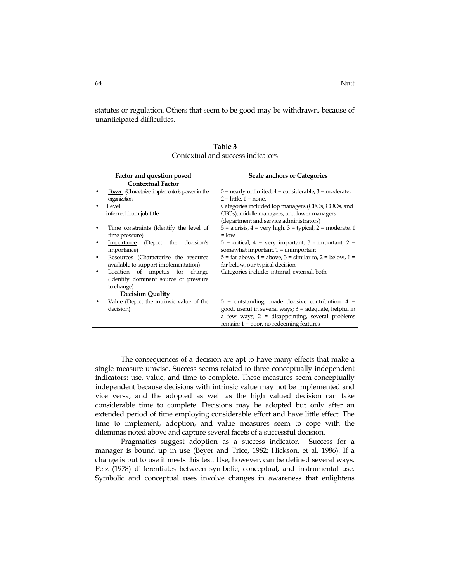statutes or regulation. Others that seem to be good may be withdrawn, because of unanticipated difficulties.

| Factor and question posed                      | <b>Scale anchors or Categories</b>                                                       |
|------------------------------------------------|------------------------------------------------------------------------------------------|
| <b>Contextual Factor</b>                       |                                                                                          |
| Power (Characterize implementor's power in the | $5$ = nearly unlimited, $4$ = considerable, $3$ = moderate,                              |
| organization                                   | $2 =$ little, $1 =$ none.                                                                |
| Level                                          | Categories included top managers (CEOs, COOs, and                                        |
| inferred from job title                        | CFOs), middle managers, and lower managers                                               |
|                                                | (department and service administrators)                                                  |
| Time constraints (Identify the level of        | $5 = a \text{ crisis}, 4 = \text{very high}, 3 = \text{typical}, 2 = \text{moderate}, 1$ |
| time pressure)                                 | $=$ low                                                                                  |
| Importance (Depict the decision's              | $5$ = critical, $4$ = very important, $3$ - important, $2$ =                             |
| importance)                                    | somewhat important, $1 =$ unimportant                                                    |
| Resources (Characterize the resource           | $5 = \text{far above}, 4 = \text{above}, 3 = \text{similar to}, 2 = \text{below}, 1 =$   |
| available to support implementation)           | far below, our typical decision                                                          |
| Location of impetus for change                 | Categories include: internal, external, both                                             |
| (Identify dominant source of pressure          |                                                                                          |
| to change)                                     |                                                                                          |
| <b>Decision Quality</b>                        |                                                                                          |
| Value (Depict the intrinsic value of the       | $5$ = outstanding, made decisive contribution; $4$ =                                     |
| decision)                                      | good, useful in several ways; 3 = adequate, helpful in                                   |
|                                                | a few ways; $2 =$ disappointing, several problems                                        |
|                                                | remain; $1 = poor$ , no redeeming features                                               |

| Table 3                           |
|-----------------------------------|
| Contextual and success indicators |

The consequences of a decision are apt to have many effects that make a single measure unwise. Success seems related to three conceptually independent indicators: use, value, and time to complete. These measures seem conceptually independent because decisions with intrinsic value may not be implemented and vice versa, and the adopted as well as the high valued decision can take considerable time to complete. Decisions may be adopted but only after an extended period of time employing considerable effort and have little effect. The time to implement, adoption, and value measures seem to cope with the dilemmas noted above and capture several facets of a successful decision.

Pragmatics suggest adoption as a success indicator. Success for a manager is bound up in use (Beyer and Trice, 1982; Hickson, et al. 1986). If a change is put to use it meets this test. Use, however, can be defined several ways. Pelz (1978) differentiates between symbolic, conceptual, and instrumental use. Symbolic and conceptual uses involve changes in awareness that enlightens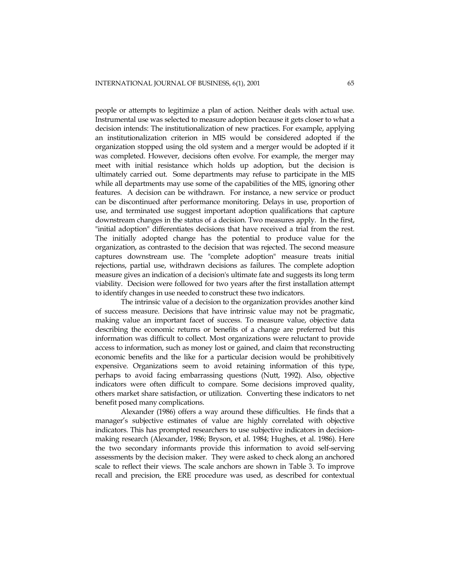people or attempts to legitimize a plan of action. Neither deals with actual use. Instrumental use was selected to measure adoption because it gets closer to what a decision intends: The institutionalization of new practices. For example, applying an institutionalization criterion in MIS would be considered adopted if the organization stopped using the old system and a merger would be adopted if it was completed. However, decisions often evolve. For example, the merger may meet with initial resistance which holds up adoption, but the decision is ultimately carried out. Some departments may refuse to participate in the MIS while all departments may use some of the capabilities of the MIS, ignoring other features. A decision can be withdrawn. For instance, a new service or product can be discontinued after performance monitoring. Delays in use, proportion of use, and terminated use suggest important adoption qualifications that capture downstream changes in the status of a decision. Two measures apply. In the first, "initial adoption" differentiates decisions that have received a trial from the rest. The initially adopted change has the potential to produce value for the organization, as contrasted to the decision that was rejected. The second measure captures downstream use. The "complete adoption" measure treats initial rejections, partial use, withdrawn decisions as failures. The complete adoption measure gives an indication of a decision's ultimate fate and suggests its long term viability. Decision were followed for two years after the first installation attempt to identify changes in use needed to construct these two indicators.

The intrinsic value of a decision to the organization provides another kind of success measure. Decisions that have intrinsic value may not be pragmatic, making value an important facet of success. To measure value, objective data describing the economic returns or benefits of a change are preferred but this information was difficult to collect. Most organizations were reluctant to provide access to information, such as money lost or gained, and claim that reconstructing economic benefits and the like for a particular decision would be prohibitively expensive. Organizations seem to avoid retaining information of this type, perhaps to avoid facing embarrassing questions (Nutt, 1992). Also, objective indicators were often difficult to compare. Some decisions improved quality, others market share satisfaction, or utilization. Converting these indicators to net benefit posed many complications.

Alexander (1986) offers a way around these difficulties. He finds that a manager's subjective estimates of value are highly correlated with objective indicators. This has prompted researchers to use subjective indicators in decisionmaking research (Alexander, 1986; Bryson, et al. 1984; Hughes, et al. 1986). Here the two secondary informants provide this information to avoid self-serving assessments by the decision maker. They were asked to check along an anchored scale to reflect their views. The scale anchors are shown in Table 3. To improve recall and precision, the ERE procedure was used, as described for contextual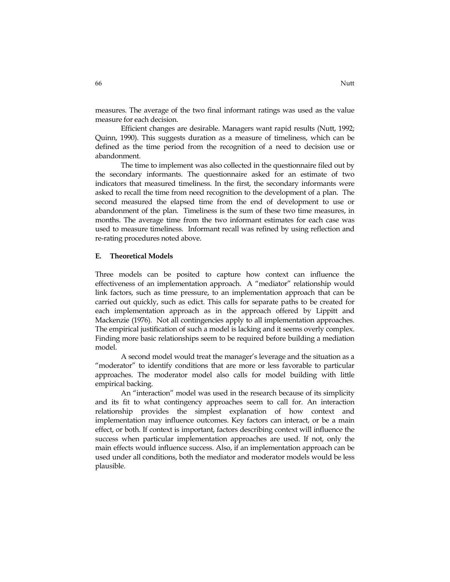measures. The average of the two final informant ratings was used as the value measure for each decision.

Efficient changes are desirable. Managers want rapid results (Nutt, 1992; Quinn, 1990). This suggests duration as a measure of timeliness, which can be defined as the time period from the recognition of a need to decision use or abandonment.

The time to implement was also collected in the questionnaire filed out by the secondary informants. The questionnaire asked for an estimate of two indicators that measured timeliness. In the first, the secondary informants were asked to recall the time from need recognition to the development of a plan. The second measured the elapsed time from the end of development to use or abandonment of the plan. Timeliness is the sum of these two time measures, in months. The average time from the two informant estimates for each case was used to measure timeliness. Informant recall was refined by using reflection and re-rating procedures noted above.

#### **E. Theoretical Models**

Three models can be posited to capture how context can influence the effectiveness of an implementation approach. A "mediator" relationship would link factors, such as time pressure, to an implementation approach that can be carried out quickly, such as edict. This calls for separate paths to be created for each implementation approach as in the approach offered by Lippitt and Mackenzie (1976). Not all contingencies apply to all implementation approaches. The empirical justification of such a model is lacking and it seems overly complex. Finding more basic relationships seem to be required before building a mediation model.

A second model would treat the manager's leverage and the situation as a "moderator" to identify conditions that are more or less favorable to particular approaches. The moderator model also calls for model building with little empirical backing.

An "interaction" model was used in the research because of its simplicity and its fit to what contingency approaches seem to call for. An interaction relationship provides the simplest explanation of how context and implementation may influence outcomes. Key factors can interact, or be a main effect, or both. If context is important, factors describing context will influence the success when particular implementation approaches are used. If not, only the main effects would influence success. Also, if an implementation approach can be used under all conditions, both the mediator and moderator models would be less plausible.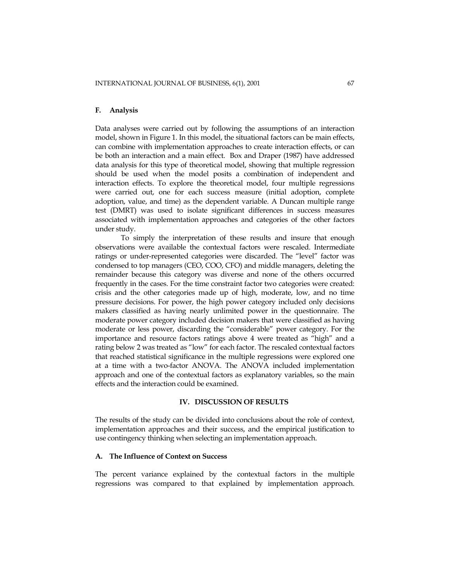# **F. Analysis**

Data analyses were carried out by following the assumptions of an interaction model, shown in Figure 1. In this model, the situational factors can be main effects, can combine with implementation approaches to create interaction effects, or can be both an interaction and a main effect. Box and Draper (1987) have addressed data analysis for this type of theoretical model, showing that multiple regression should be used when the model posits a combination of independent and interaction effects. To explore the theoretical model, four multiple regressions were carried out, one for each success measure (initial adoption, complete adoption, value, and time) as the dependent variable. A Duncan multiple range test (DMRT) was used to isolate significant differences in success measures associated with implementation approaches and categories of the other factors under study.

To simply the interpretation of these results and insure that enough observations were available the contextual factors were rescaled. Intermediate ratings or under-represented categories were discarded. The "level" factor was condensed to top managers (CEO, COO, CFO) and middle managers, deleting the remainder because this category was diverse and none of the others occurred frequently in the cases. For the time constraint factor two categories were created: crisis and the other categories made up of high, moderate, low, and no time pressure decisions. For power, the high power category included only decisions makers classified as having nearly unlimited power in the questionnaire. The moderate power category included decision makers that were classified as having moderate or less power, discarding the "considerable" power category. For the importance and resource factors ratings above 4 were treated as "high" and a rating below 2 was treated as "low" for each factor. The rescaled contextual factors that reached statistical significance in the multiple regressions were explored one at a time with a two-factor ANOVA. The ANOVA included implementation approach and one of the contextual factors as explanatory variables, so the main effects and the interaction could be examined.

#### **IV. DISCUSSION OF RESULTS**

The results of the study can be divided into conclusions about the role of context, implementation approaches and their success, and the empirical justification to use contingency thinking when selecting an implementation approach.

# **A. The Influence of Context on Success**

The percent variance explained by the contextual factors in the multiple regressions was compared to that explained by implementation approach.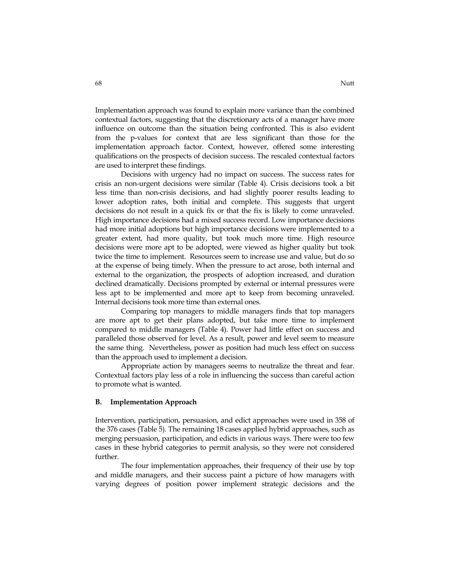Implementation approach was found to explain more variance than the combined contextual factors, suggesting that the discretionary acts of a manager have more influence on outcome than the situation being confronted. This is also evident from the p-values for context that are less significant than those for the implementation approach factor. Context, however, offered some interesting qualifications on the prospects of decision success. The rescaled contextual factors are used to interpret these findings.

Decisions with urgency had no impact on success. The success rates for crisis an non-urgent decisions were similar (Table 4). Crisis decisions took a bit less time than non-crisis decisions, and had slightly poorer results leading to lower adoption rates, both initial and complete. This suggests that urgent decisions do not result in a quick fix or that the fix is likely to come unraveled. High importance decisions had a mixed success record. Low importance decisions had more initial adoptions but high importance decisions were implemented to a greater extent, had more quality, but took much more time. High resource decisions were more apt to be adopted, were viewed as higher quality but took twice the time to implement. Resources seem to increase use and value, but do so at the expense of being timely. When the pressure to act arose, both internal and external to the organization, the prospects of adoption increased, and duration declined dramatically. Decisions prompted by external or internal pressures were less apt to be implemented and more apt to keep from becoming unraveled. Internal decisions took more time than external ones.

Comparing top managers to middle managers finds that top managers are more apt to get their plans adopted, but take more time to implement compared to middle managers (Table 4). Power had little effect on success and paralleled those observed for level. As a result, power and level seem to measure the same thing. Nevertheless, power as position had much less effect on success than the approach used to implement a decision.

Appropriate action by managers seems to neutralize the threat and fear. Contextual factors play less of a role in influencing the success than careful action to promote what is wanted.

### **B. Implementation Approach**

Intervention, participation, persuasion, and edict approaches were used in 358 of the 376 cases (Table 5). The remaining 18 cases applied hybrid approaches, such as merging persuasion, participation, and edicts in various ways. There were too few cases in these hybrid categories to permit analysis, so they were not considered further.

The four implementation approaches, their frequency of their use by top and middle managers, and their success paint a picture of how managers with varying degrees of position power implement strategic decisions and the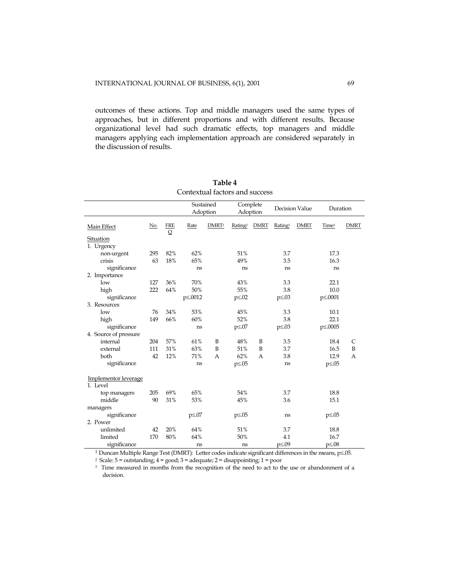outcomes of these actions. Top and middle managers used the same types of approaches, but in different proportions and with different results. Because organizational level had such dramatic effects, top managers and middle managers applying each implementation approach are considered separately in the discussion of results.

|                                  |            |                 | Sustained<br>Adoption                                                |                   | Complete<br>Adoption |             | Decision Value      |             | Duration          |             |
|----------------------------------|------------|-----------------|----------------------------------------------------------------------|-------------------|----------------------|-------------|---------------------|-------------|-------------------|-------------|
| Main Effect                      | <u>No.</u> | <b>FRE</b><br>Q | Rate                                                                 | DMRT <sup>1</sup> | Rating <sup>2</sup>  | <b>DMRT</b> | Rating <sup>3</sup> | <b>DMRT</b> | Time <sup>3</sup> | <b>DMRT</b> |
| Situation                        |            |                 |                                                                      |                   |                      |             |                     |             |                   |             |
| 1. Urgency                       |            |                 |                                                                      |                   |                      |             |                     |             |                   |             |
| non-urgent                       | 295        | 82%             | 62%                                                                  |                   | 51%                  |             | 3.7                 |             | 17.3              |             |
| crisis                           | 63         | 18%             | 65%                                                                  |                   | 49%                  |             | 3.5                 |             | 16.3              |             |
| significance                     |            |                 | ns                                                                   |                   | ns                   |             | ns                  |             | ns                |             |
| 2. Importance                    |            |                 |                                                                      |                   |                      |             |                     |             |                   |             |
| low                              | 127        | 36%             | 70%                                                                  |                   | 43%                  |             | 3.3                 |             | 22.1              |             |
| high                             | 222        | 64%             | 50%                                                                  |                   | 55%                  |             | 3.8                 |             | 10.0              |             |
| significance                     |            |                 | p  s <sub>p</sub> s  p <sub>p</sub> p <sub>b</sub> p <sub>0012</sub> |                   | $p \leq 0.02$        |             | $p \leq 0.03$       |             | p  s.0001         |             |
| 3. Resources                     |            |                 |                                                                      |                   |                      |             |                     |             |                   |             |
| low                              | 76         | 34%             | 53%                                                                  |                   | 45%                  |             | 3.3                 |             | 10.1              |             |
| high                             | 149        | 66%             | 60%                                                                  |                   | 52%                  |             | 3.8                 |             | 22.1              |             |
| significance                     |            |                 | ns                                                                   |                   | $p \leq 07$          |             | $p \leq 0.03$       |             | p≤.0005           |             |
| 4. Source of pressure            |            |                 |                                                                      |                   |                      |             |                     |             |                   |             |
| internal                         | 204        | 57%             | 61%                                                                  | B                 | 48%                  | B           | 3.5                 |             | 18.4              | C           |
| external                         | 111        | 31%             | 63%                                                                  | B                 | 51%                  | B           | 3.7                 |             | 16.5              | B           |
| both                             | 42         | 12%             | 71%                                                                  | A                 | 62%                  | А           | 3.8                 |             | 12.9              | A           |
| significance                     |            |                 | ns                                                                   |                   | $p \le 0.05$         |             | ns                  |             | $p \le 0.05$      |             |
| Implementor leverage<br>1. Level |            |                 |                                                                      |                   |                      |             |                     |             |                   |             |
| top managers                     | 205        | 69%             | 65%                                                                  |                   | 54%                  |             | 3.7                 |             | 18.8              |             |
| middle                           | 90         | 31%             | 53%                                                                  |                   | 45%                  |             | 3.6                 |             | 15.1              |             |
| managers                         |            |                 |                                                                      |                   |                      |             |                     |             |                   |             |
| significance                     |            |                 | $p \leq 0.07$                                                        |                   | $p \leq 0.05$        |             | ns                  |             | $p \leq 0.05$     |             |
| 2. Power                         |            |                 |                                                                      |                   |                      |             |                     |             |                   |             |
| unlimited                        | 42         | 20%             | 64%                                                                  |                   | 51%                  |             | 3.7                 |             | 18.8              |             |
| limited                          | 170        | 80%             | 64%                                                                  |                   | 50%                  |             | 4.1                 |             | 16.7              |             |
| significance                     |            |                 | ns                                                                   |                   | ns                   |             | p≤.09               |             | $p \leq 0.08$     |             |

| Table 4                        |
|--------------------------------|
| Contextual factors and success |

<sup>1</sup> Duncan Multiple Range Test (DMRT): Letter codes indicate significant differences in the means, p≤.05.<br><sup>2</sup> Scale: 5 = outstanding; 4 = good; 3 = adequate; 2 = disappointing; 1 = poor

<sup>3</sup> Time measured in months from the recognition of the need to act to the use or abandonment of a decision.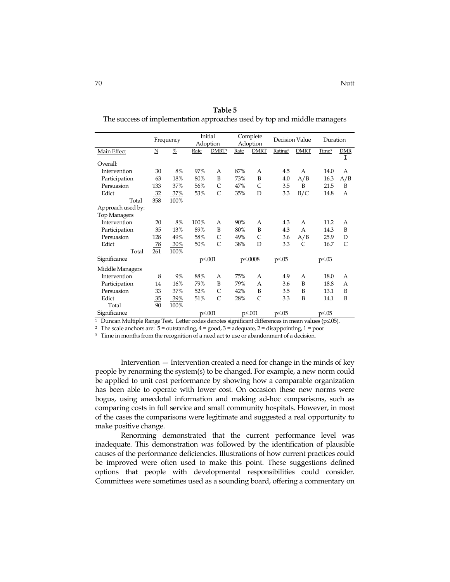|                     |                         | Frequency     |                | Initial<br>Adoption |      | Complete<br>Adoption | Decision Value      |              | Duration          |              |
|---------------------|-------------------------|---------------|----------------|---------------------|------|----------------------|---------------------|--------------|-------------------|--------------|
| Main Effect         | $\overline{\mathbf{N}}$ | $\frac{0}{2}$ | Rate           | DMRT <sup>1</sup>   | Rate | <b>DMRT</b>          | Rating <sup>2</sup> | <b>DMRT</b>  | Time <sup>3</sup> | DMR          |
| Overall:            |                         |               |                |                     |      |                      |                     |              |                   | Ι            |
| Intervention        | 30                      | 8%            | 97%            | А                   | 87%  | A                    | 4.5                 | A            | 14.0              | А            |
| Participation       | 63                      | 18%           | 80%            | B                   | 73%  | B                    | 4.0                 | A/B          | 16.3              | A/B          |
| Persuasion          | 133                     | 37%           | 56%            | C                   | 47%  | C                    | 3.5                 | B            | 21.5              | B            |
| Edict               | 32                      | 37%           | 53%            | $\overline{C}$      | 35%  | D                    | 3.3                 | B/C          | 14.8              | А            |
| Total               | 358                     | 100%          |                |                     |      |                      |                     |              |                   |              |
| Approach used by:   |                         |               |                |                     |      |                      |                     |              |                   |              |
| <b>Top Managers</b> |                         |               |                |                     |      |                      |                     |              |                   |              |
| Intervention        | 20                      | 8%            | 100%           | A                   | 90%  | A                    | 4.3                 | A            | 11.2              | A            |
| Participation       | 35                      | 13%           | 89%            | B                   | 80%  | B                    | 4.3                 | A            | 14.3              | B            |
| Persuasion          | 128                     | 49%           | 58%            | C                   | 49%  | C                    | 3.6                 | A/B          | 25.9              | D            |
| Edict               | 78                      | 30%           | 50%            | C                   | 38%  | D                    | 3.3                 | $\mathsf{C}$ | 16.7              | $\mathsf{C}$ |
| Total               | 261                     | 100%          |                |                     |      |                      |                     |              |                   |              |
| Significance        |                         |               |                | $p \leq 0.001$      |      | p≤.0008              | $p \leq 0.05$       |              | $p \leq 0.03$     |              |
| Middle Managers     |                         |               |                |                     |      |                      |                     |              |                   |              |
| Intervention        | 8                       | 9%            | 88%            | А                   | 75%  | A                    | 4.9                 | A            | 18.0              | A            |
| Participation       | 14                      | 16%           | 79%            | B                   | 79%  | $\overline{A}$       | 3.6                 | B            | 18.8              | A            |
| Persuasion          | 33                      | 37%           | 52%            | C                   | 42%  | B                    | 3.5                 | B            | 13.1              | B            |
| Edict               | 35                      | 39%           | 51%            | $\mathsf{C}$        | 28%  | $\mathsf{C}$         | 3.3                 | B            | 14.1              | B            |
| Total               | 90                      | 100%          |                |                     |      |                      |                     |              |                   |              |
| Significance        |                         |               | $p \leq 0.001$ |                     |      | p  s.001             | $p \le 0.05$        |              | $p \le 0.05$      |              |
|                     |                         |               |                |                     |      |                      |                     |              |                   |              |

**Table 5**  The success of implementation approaches used by top and middle managers

1 Duncan Multiple Range Test. Letter codes denotes significant differences in mean values (p≤.05).

<sup>2</sup> The scale anchors are:  $5 =$  outstanding,  $4 =$  good,  $3 =$  adequate,  $2 =$  disappointing,  $1 =$  poor

<sup>3</sup> Time in months from the recognition of a need act to use or abandonment of a decision.

Intervention — Intervention created a need for change in the minds of key people by renorming the system(s) to be changed. For example, a new norm could be applied to unit cost performance by showing how a comparable organization has been able to operate with lower cost. On occasion these new norms were bogus, using anecdotal information and making ad-hoc comparisons, such as comparing costs in full service and small community hospitals. However, in most of the cases the comparisons were legitimate and suggested a real opportunity to make positive change.

Renorming demonstrated that the current performance level was inadequate. This demonstration was followed by the identification of plausible causes of the performance deficiencies. Illustrations of how current practices could be improved were often used to make this point. These suggestions defined options that people with developmental responsibilities could consider. Committees were sometimes used as a sounding board, offering a commentary on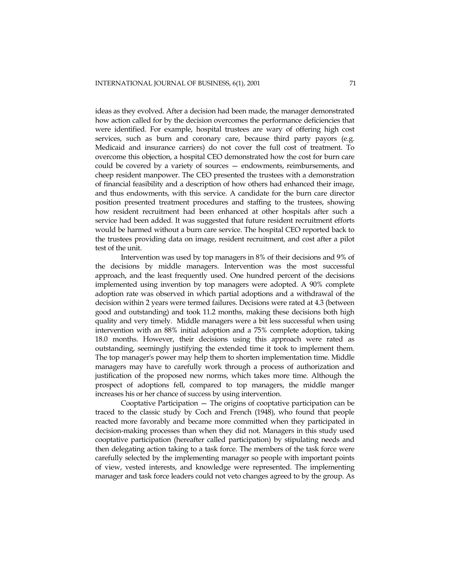ideas as they evolved. After a decision had been made, the manager demonstrated how action called for by the decision overcomes the performance deficiencies that were identified. For example, hospital trustees are wary of offering high cost services, such as burn and coronary care, because third party payors (e.g. Medicaid and insurance carriers) do not cover the full cost of treatment. To overcome this objection, a hospital CEO demonstrated how the cost for burn care could be covered by a variety of sources — endowments, reimbursements, and cheep resident manpower. The CEO presented the trustees with a demonstration of financial feasibility and a description of how others had enhanced their image, and thus endowments, with this service. A candidate for the burn care director position presented treatment procedures and staffing to the trustees, showing how resident recruitment had been enhanced at other hospitals after such a service had been added. It was suggested that future resident recruitment efforts would be harmed without a burn care service. The hospital CEO reported back to the trustees providing data on image, resident recruitment, and cost after a pilot test of the unit.

Intervention was used by top managers in 8% of their decisions and 9% of the decisions by middle managers. Intervention was the most successful approach, and the least frequently used. One hundred percent of the decisions implemented using invention by top managers were adopted. A 90% complete adoption rate was observed in which partial adoptions and a withdrawal of the decision within 2 years were termed failures. Decisions were rated at 4.3 (between good and outstanding) and took 11.2 months, making these decisions both high quality and very timely. Middle managers were a bit less successful when using intervention with an 88% initial adoption and a 75% complete adoption, taking 18.0 months. However, their decisions using this approach were rated as outstanding, seemingly justifying the extended time it took to implement them. The top manager's power may help them to shorten implementation time. Middle managers may have to carefully work through a process of authorization and justification of the proposed new norms, which takes more time. Although the prospect of adoptions fell, compared to top managers, the middle manger increases his or her chance of success by using intervention.

Cooptative Participation — The origins of cooptative participation can be traced to the classic study by Coch and French (1948), who found that people reacted more favorably and became more committed when they participated in decision-making processes than when they did not. Managers in this study used cooptative participation (hereafter called participation) by stipulating needs and then delegating action taking to a task force. The members of the task force were carefully selected by the implementing manager so people with important points of view, vested interests, and knowledge were represented. The implementing manager and task force leaders could not veto changes agreed to by the group. As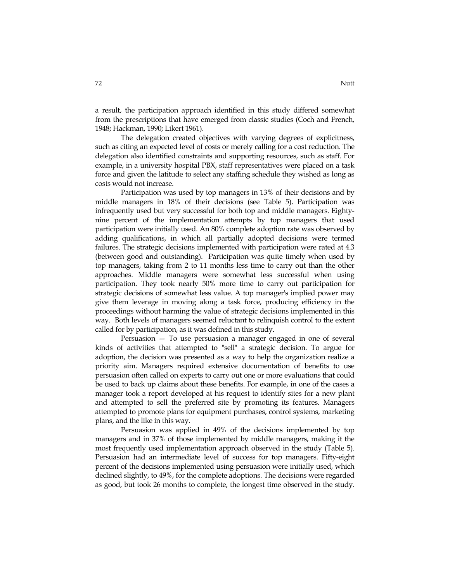a result, the participation approach identified in this study differed somewhat from the prescriptions that have emerged from classic studies (Coch and French, 1948; Hackman, 1990; Likert 1961).

The delegation created objectives with varying degrees of explicitness, such as citing an expected level of costs or merely calling for a cost reduction. The delegation also identified constraints and supporting resources, such as staff. For example, in a university hospital PBX, staff representatives were placed on a task force and given the latitude to select any staffing schedule they wished as long as costs would not increase.

Participation was used by top managers in 13% of their decisions and by middle managers in 18% of their decisions (see Table 5). Participation was infrequently used but very successful for both top and middle managers. Eightynine percent of the implementation attempts by top managers that used participation were initially used. An 80% complete adoption rate was observed by adding qualifications, in which all partially adopted decisions were termed failures. The strategic decisions implemented with participation were rated at 4.3 (between good and outstanding). Participation was quite timely when used by top managers, taking from 2 to 11 months less time to carry out than the other approaches. Middle managers were somewhat less successful when using participation. They took nearly 50% more time to carry out participation for strategic decisions of somewhat less value. A top manager's implied power may give them leverage in moving along a task force, producing efficiency in the proceedings without harming the value of strategic decisions implemented in this way. Both levels of managers seemed reluctant to relinquish control to the extent called for by participation, as it was defined in this study.

Persuasion — To use persuasion a manager engaged in one of several kinds of activities that attempted to "sell" a strategic decision. To argue for adoption, the decision was presented as a way to help the organization realize a priority aim. Managers required extensive documentation of benefits to use persuasion often called on experts to carry out one or more evaluations that could be used to back up claims about these benefits. For example, in one of the cases a manager took a report developed at his request to identify sites for a new plant and attempted to sell the preferred site by promoting its features. Managers attempted to promote plans for equipment purchases, control systems, marketing plans, and the like in this way.

Persuasion was applied in 49% of the decisions implemented by top managers and in 37% of those implemented by middle managers, making it the most frequently used implementation approach observed in the study (Table 5). Persuasion had an intermediate level of success for top managers. Fifty-eight percent of the decisions implemented using persuasion were initially used, which declined slightly, to 49%, for the complete adoptions. The decisions were regarded as good, but took 26 months to complete, the longest time observed in the study.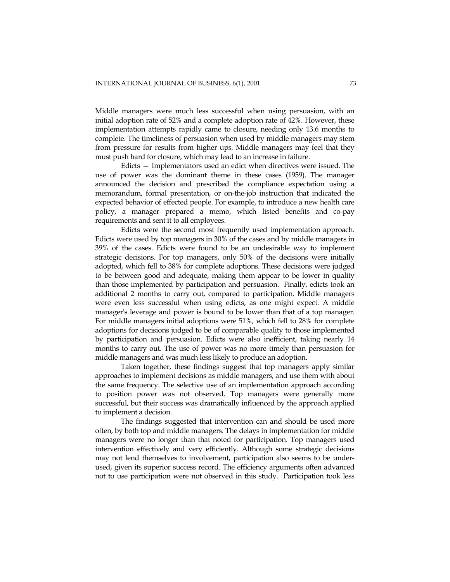Middle managers were much less successful when using persuasion, with an initial adoption rate of 52% and a complete adoption rate of 42%. However, these implementation attempts rapidly came to closure, needing only 13.6 months to complete. The timeliness of persuasion when used by middle managers may stem from pressure for results from higher ups. Middle managers may feel that they must push hard for closure, which may lead to an increase in failure.

Edicts — Implementators used an edict when directives were issued. The use of power was the dominant theme in these cases (1959). The manager announced the decision and prescribed the compliance expectation using a memorandum, formal presentation, or on-the-job instruction that indicated the expected behavior of effected people. For example, to introduce a new health care policy, a manager prepared a memo, which listed benefits and co-pay requirements and sent it to all employees.

Edicts were the second most frequently used implementation approach. Edicts were used by top managers in 30% of the cases and by middle managers in 39% of the cases. Edicts were found to be an undesirable way to implement strategic decisions. For top managers, only 50% of the decisions were initially adopted, which fell to 38% for complete adoptions. These decisions were judged to be between good and adequate, making them appear to be lower in quality than those implemented by participation and persuasion. Finally, edicts took an additional 2 months to carry out, compared to participation. Middle managers were even less successful when using edicts, as one might expect. A middle manager's leverage and power is bound to be lower than that of a top manager. For middle managers initial adoptions were 51%, which fell to 28% for complete adoptions for decisions judged to be of comparable quality to those implemented by participation and persuasion. Edicts were also inefficient, taking nearly 14 months to carry out. The use of power was no more timely than persuasion for middle managers and was much less likely to produce an adoption.

Taken together, these findings suggest that top managers apply similar approaches to implement decisions as middle managers, and use them with about the same frequency. The selective use of an implementation approach according to position power was not observed. Top managers were generally more successful, but their success was dramatically influenced by the approach applied to implement a decision.

The findings suggested that intervention can and should be used more often, by both top and middle managers. The delays in implementation for middle managers were no longer than that noted for participation. Top managers used intervention effectively and very efficiently. Although some strategic decisions may not lend themselves to involvement, participation also seems to be underused, given its superior success record. The efficiency arguments often advanced not to use participation were not observed in this study. Participation took less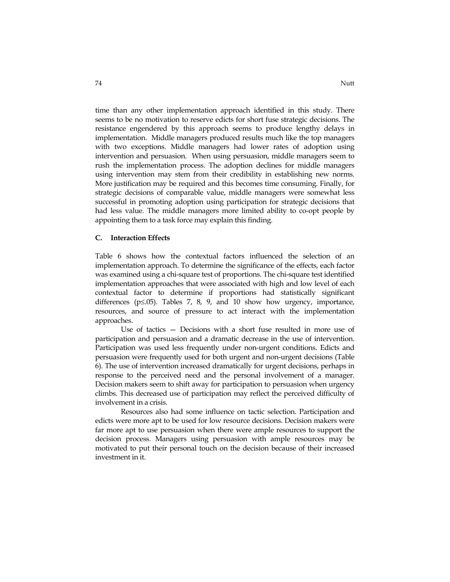time than any other implementation approach identified in this study. There seems to be no motivation to reserve edicts for short fuse strategic decisions. The resistance engendered by this approach seems to produce lengthy delays in implementation. Middle managers produced results much like the top managers with two exceptions. Middle managers had lower rates of adoption using intervention and persuasion. When using persuasion, middle managers seem to rush the implementation process. The adoption declines for middle managers using intervention may stem from their credibility in establishing new norms. More justification may be required and this becomes time consuming. Finally, for strategic decisions of comparable value, middle managers were somewhat less successful in promoting adoption using participation for strategic decisions that had less value. The middle managers more limited ability to co-opt people by appointing them to a task force may explain this finding.

# **C. Interaction Effects**

Table 6 shows how the contextual factors influenced the selection of an implementation approach. To determine the significance of the effects, each factor was examined using a chi-square test of proportions. The chi-square test identified implementation approaches that were associated with high and low level of each contextual factor to determine if proportions had statistically significant differences (p≤.05). Tables 7, 8, 9, and 10 show how urgency, importance, resources, and source of pressure to act interact with the implementation approaches.

Use of tactics — Decisions with a short fuse resulted in more use of participation and persuasion and a dramatic decrease in the use of intervention. Participation was used less frequently under non-urgent conditions. Edicts and persuasion were frequently used for both urgent and non-urgent decisions (Table 6). The use of intervention increased dramatically for urgent decisions, perhaps in response to the perceived need and the personal involvement of a manager. Decision makers seem to shift away for participation to persuasion when urgency climbs. This decreased use of participation may reflect the perceived difficulty of involvement in a crisis.

Resources also had some influence on tactic selection. Participation and edicts were more apt to be used for low resource decisions. Decision makers were far more apt to use persuasion when there were ample resources to support the decision process. Managers using persuasion with ample resources may be motivated to put their personal touch on the decision because of their increased investment in it.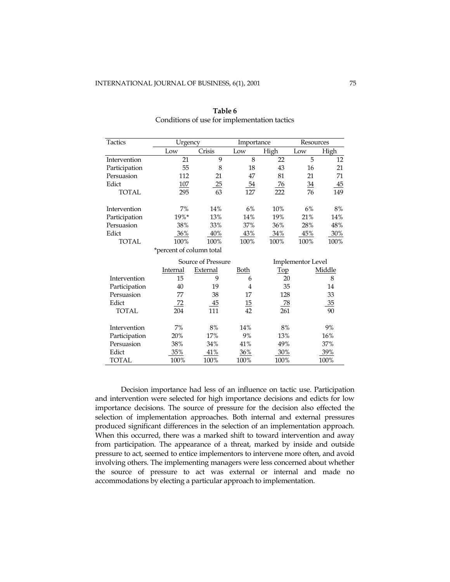| Tactics       | Urgency                  |                    | Importance |           | Resources         |        |
|---------------|--------------------------|--------------------|------------|-----------|-------------------|--------|
|               | Low                      | Crisis             | Low        | High      | Low               | High   |
| Intervention  | 21                       | 9                  | 8          | 22        | 5                 | 12     |
| Participation | 55                       | 8                  | 18         | 43        | 16                | 21     |
| Persuasion    | 112                      | 21                 | 47         | 81        | 21                | 71     |
| Edict         | <u>107</u>               | 25                 | <u>54</u>  | <u>76</u> | $\frac{34}{5}$    | 45     |
| <b>TOTAL</b>  | 295                      | 63                 | 127        | 222       | 76                | 149    |
| Intervention  | 7%                       | 14%                | 6%         | 10%       | 6%                | 8%     |
| Participation | 19%*                     | 13%                | 14%        | 19%       | 21%               | 14%    |
| Persuasion    | 38%                      | 33%                | 37%        | 36%       | 28%               | 48%    |
| Edict         | 36%                      | 40%                | 43%        | 34%       | 45%               | 30%    |
| <b>TOTAL</b>  | 100%                     | 100%               | 100%       | 100%      | 100%              | 100%   |
|               | *percent of column total |                    |            |           |                   |        |
|               |                          | Source of Pressure |            |           | Implementor Level |        |
|               | <u>Internal</u>          | External           | Both       | Top       |                   | Middle |
| Intervention  | 15                       | 9                  | 6          | 20        |                   | 8      |
| Participation | 40                       | 19                 | 4          | 35        |                   | 14     |
| Persuasion    | 77                       | 38                 | 17         | 128       |                   | 33     |
| Edict         | 72                       | 45                 | <u>15</u>  | 78        |                   | 35     |
| <b>TOTAL</b>  | 204                      | 111                | 42         | 261       |                   | 90     |
| Intervention  | 7%                       | 8%                 | 14%        | 8%        |                   | 9%     |
| Participation | 20%                      | 17%                | 9%         | 13%       |                   | 16%    |
| Persuasion    | 38%                      | 34%                | 41%        | 49%       |                   | 37%    |
| Edict         | 35%                      | <u>41%</u>         | 36%        | 30%       |                   | 39%    |
| <b>TOTAL</b>  | 100%                     | 100%               | 100%       | 100%      |                   | 100%   |

**Table 6**  Conditions of use for implementation tactics

Decision importance had less of an influence on tactic use. Participation and intervention were selected for high importance decisions and edicts for low importance decisions. The source of pressure for the decision also effected the selection of implementation approaches. Both internal and external pressures produced significant differences in the selection of an implementation approach. When this occurred, there was a marked shift to toward intervention and away from participation. The appearance of a threat, marked by inside and outside pressure to act, seemed to entice implementors to intervene more often, and avoid involving others. The implementing managers were less concerned about whether the source of pressure to act was external or internal and made no accommodations by electing a particular approach to implementation.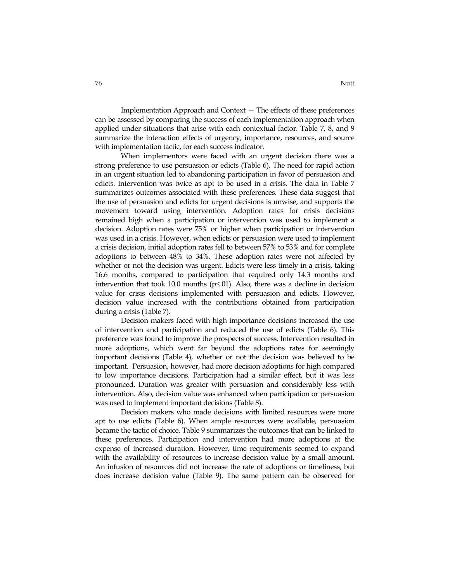Implementation Approach and Context — The effects of these preferences can be assessed by comparing the success of each implementation approach when applied under situations that arise with each contextual factor. Table 7, 8, and 9 summarize the interaction effects of urgency, importance, resources, and source with implementation tactic, for each success indicator.

When implementors were faced with an urgent decision there was a strong preference to use persuasion or edicts (Table 6). The need for rapid action in an urgent situation led to abandoning participation in favor of persuasion and edicts. Intervention was twice as apt to be used in a crisis. The data in Table 7 summarizes outcomes associated with these preferences. These data suggest that the use of persuasion and edicts for urgent decisions is unwise, and supports the movement toward using intervention. Adoption rates for crisis decisions remained high when a participation or intervention was used to implement a decision. Adoption rates were 75% or higher when participation or intervention was used in a crisis. However, when edicts or persuasion were used to implement a crisis decision, initial adoption rates fell to between 57% to 53% and for complete adoptions to between 48% to 34%. These adoption rates were not affected by whether or not the decision was urgent. Edicts were less timely in a crisis, taking 16.6 months, compared to participation that required only 14.3 months and intervention that took 10.0 months ( $p \le 01$ ). Also, there was a decline in decision value for crisis decisions implemented with persuasion and edicts. However, decision value increased with the contributions obtained from participation during a crisis (Table 7).

Decision makers faced with high importance decisions increased the use of intervention and participation and reduced the use of edicts (Table 6). This preference was found to improve the prospects of success. Intervention resulted in more adoptions, which went far beyond the adoptions rates for seemingly important decisions (Table 4), whether or not the decision was believed to be important. Persuasion, however, had more decision adoptions for high compared to low importance decisions. Participation had a similar effect, but it was less pronounced. Duration was greater with persuasion and considerably less with intervention. Also, decision value was enhanced when participation or persuasion was used to implement important decisions (Table 8).

Decision makers who made decisions with limited resources were more apt to use edicts (Table 6). When ample resources were available, persuasion became the tactic of choice. Table 9 summarizes the outcomes that can be linked to these preferences. Participation and intervention had more adoptions at the expense of increased duration. However, time requirements seemed to expand with the availability of resources to increase decision value by a small amount. An infusion of resources did not increase the rate of adoptions or timeliness, but does increase decision value (Table 9). The same pattern can be observed for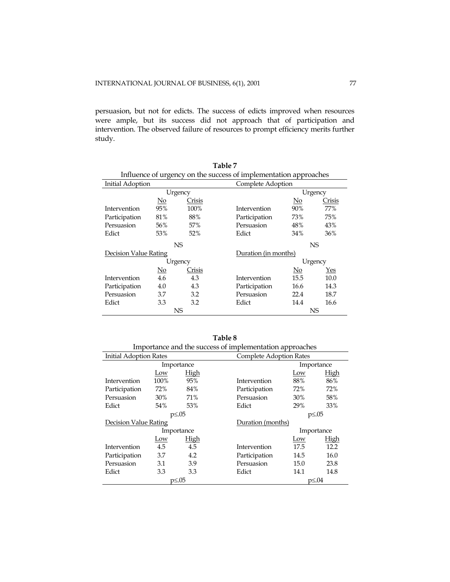persuasion, but not for edicts. The success of edicts improved when resources were ample, but its success did not approach that of participation and intervention. The observed failure of resources to prompt efficiency merits further study.

| Table 7                                                          |                           |           |                   |                           |        |  |  |  |
|------------------------------------------------------------------|---------------------------|-----------|-------------------|---------------------------|--------|--|--|--|
| Influence of urgency on the success of implementation approaches |                           |           |                   |                           |        |  |  |  |
| Initial Adoption                                                 |                           |           | Complete Adoption |                           |        |  |  |  |
|                                                                  |                           | Urgency   |                   | Urgency                   |        |  |  |  |
|                                                                  | $\underline{\mathrm{No}}$ | Crisis    |                   | No                        | Crisis |  |  |  |
| Intervention                                                     | 95%                       | 100%      | Intervention      | 90%                       | 77%    |  |  |  |
| Participation                                                    | 81%                       | 88%       | Participation     | 73%                       | 75%    |  |  |  |
| Persuasion                                                       | 56%                       | 57%       | Persuasion        | 48%                       | 43%    |  |  |  |
| Edict                                                            | 53%                       | 52%       | Edict             | 34%                       | 36%    |  |  |  |
|                                                                  |                           | <b>NS</b> |                   | NS.                       |        |  |  |  |
| Decision Value Rating                                            |                           |           |                   | Duration (in months)      |        |  |  |  |
|                                                                  |                           | Urgency   |                   | Urgency                   |        |  |  |  |
|                                                                  | $\underline{\mathrm{No}}$ | Crisis    |                   | $\underline{\mathrm{No}}$ | Yes    |  |  |  |
| Intervention                                                     | 4.6                       | 4.3       | Intervention      | 15.5                      | 10.0   |  |  |  |
| Participation                                                    | 4.0                       | 4.3       | Participation     | 16.6                      | 14.3   |  |  |  |
| Persuasion                                                       | 3.7                       | 3.2       | Persuasion        | 22.4                      | 18.7   |  |  |  |
| Edict                                                            | 3.3                       | 3.2       | Edict             | 14.4                      | 16.6   |  |  |  |
|                                                                  |                           | NS        |                   |                           | NS     |  |  |  |

| Table 8                                                 |
|---------------------------------------------------------|
| Importance and the success of implementation approaches |
|                                                         |

|                               | $\cdots$ |               |               |                         |              |  |  |  |  |
|-------------------------------|----------|---------------|---------------|-------------------------|--------------|--|--|--|--|
| <b>Initial Adoption Rates</b> |          |               |               | Complete Adoption Rates |              |  |  |  |  |
|                               |          | Importance    |               | Importance              |              |  |  |  |  |
|                               | Low      | High          |               | Low                     | <b>High</b>  |  |  |  |  |
| Intervention                  | 100%     | 95%           | Intervention  | 88%                     | 86%          |  |  |  |  |
| Participation                 | 72%      | 84%           | Participation | 72%                     | 72%          |  |  |  |  |
| Persuasion                    | 30%      | 71%           | Persuasion    | 30%                     | 58%          |  |  |  |  |
| Edict                         | 54%      | 53%           | Edict         | 29%                     | 33%          |  |  |  |  |
|                               |          | $p \leq 0.05$ |               | $p \le 0.05$            |              |  |  |  |  |
| Decision Value Rating         |          |               |               | Duration (months)       |              |  |  |  |  |
|                               |          | Importance    |               | Importance              |              |  |  |  |  |
|                               | Low      | High          |               | Low                     | High         |  |  |  |  |
| Intervention                  | 4.5      | 4.5           | Intervention  | 17.5                    | 12.2         |  |  |  |  |
| Participation                 | 3.7      | 4.2           | Participation | 14.5                    | 16.0         |  |  |  |  |
| Persuasion                    | 3.1      | 3.9           | Persuasion    | 15.0                    | 23.8         |  |  |  |  |
| Edict                         | 3.3      | 3.3           | Edict         | 14.1                    | 14.8         |  |  |  |  |
|                               |          | $p \leq 0.05$ |               |                         | $p \leq .04$ |  |  |  |  |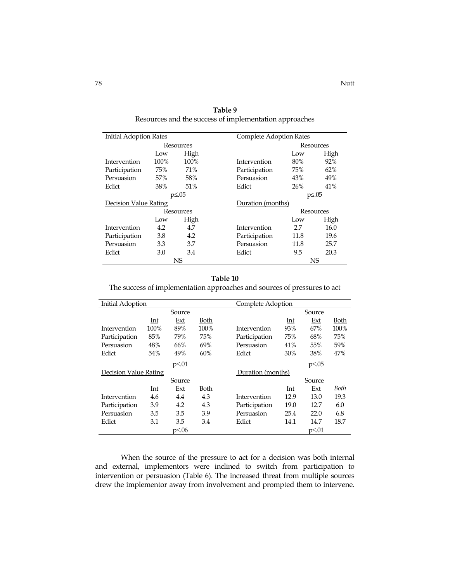| Initial Adoption Rates |      |             |               | <b>Complete Adoption Rates</b> |           |  |  |
|------------------------|------|-------------|---------------|--------------------------------|-----------|--|--|
| Resources              |      |             |               | Resources                      |           |  |  |
|                        | Low  | <b>High</b> |               | Low                            | High      |  |  |
| Intervention           | 100% | 100%        | Intervention  | 80%                            | 92%       |  |  |
| Participation          | 75%  | 71%         | Participation | 75%                            | 62%       |  |  |
| Persuasion             | 57%  | 58%         | Persuasion    | 43%                            | 49%       |  |  |
| Edict                  | 38%  | 51%         | Edict         | 26%                            | 41%       |  |  |
| $p \le 0.05$           |      |             |               | $p \leq 0.05$                  |           |  |  |
| Decision Value Rating  |      |             |               | Duration (months)              |           |  |  |
|                        |      | Resources   |               | Resources                      |           |  |  |
|                        | Low  | High        |               | Low                            | High      |  |  |
| Intervention           | 4.2  | 4.7         | Intervention  | 2.7                            | 16.0      |  |  |
| Participation          | 3.8  | 4.2         | Participation | 11.8                           | 19.6      |  |  |
| Persuasion             | 3.3  | 3.7         | Persuasion    | 11.8                           | 25.7      |  |  |
| Edict                  | 3.0  | 3.4         | Edict         | 9.5                            | 20.3      |  |  |
|                        |      | NS.         |               |                                | <b>NS</b> |  |  |

**Table 9**  Resources and the success of implementation approaches

# **Table 10**

The success of implementation approaches and sources of pressures to act

| Initial Adoption      |       |             |             |               | Complete Adoption |               |      |  |
|-----------------------|-------|-------------|-------------|---------------|-------------------|---------------|------|--|
|                       |       | Source      |             |               |                   | Source        |      |  |
|                       | Int   | Ext         | Both        |               | Int               | Ext           | Both |  |
| Intervention          | 100%  | 89%         | 100%        | Intervention  | 93%               | 67%           | 100% |  |
| Participation         | 85%   | 79%         | 75%         | Participation | 75%               | 68%           | 75%  |  |
| Persuasion            | 48%   | 66%         | 69%         | Persuasion    | 41%               | 55%           | 59%  |  |
| Edict                 | 54%   | 49%         | 60%         | Edict         | 30%               | 38%           | 47%  |  |
|                       |       | $p \leq 01$ |             |               |                   | $p \leq 0.05$ |      |  |
| Decision Value Rating |       |             |             |               | Duration (months) |               |      |  |
|                       |       | Source      |             |               |                   | Source        |      |  |
|                       | $Int$ | <u>Ext</u>  | <u>Both</u> |               | <u>Int</u>        | Ext           | Both |  |
| Intervention          | 4.6   | 4.4         | 4.3         | Intervention  | 12.9              | 13.0          | 19.3 |  |
| Participation         | 3.9   | 4.2         | 4.3         | Participation | 19.0              | 12.7          | 6.0  |  |
| Persuasion            | 3.5   | 3.5         | 3.9         | Persuasion    | 25.4              | 22.0          | 6.8  |  |
| Edict                 | 3.1   | 3.5         | 3.4         | Edict         | 14.1              | 14.7          | 18.7 |  |
|                       |       | $p\leq 06$  |             |               |                   | p≤.01         |      |  |

When the source of the pressure to act for a decision was both internal and external, implementors were inclined to switch from participation to intervention or persuasion (Table 6). The increased threat from multiple sources drew the implementor away from involvement and prompted them to intervene.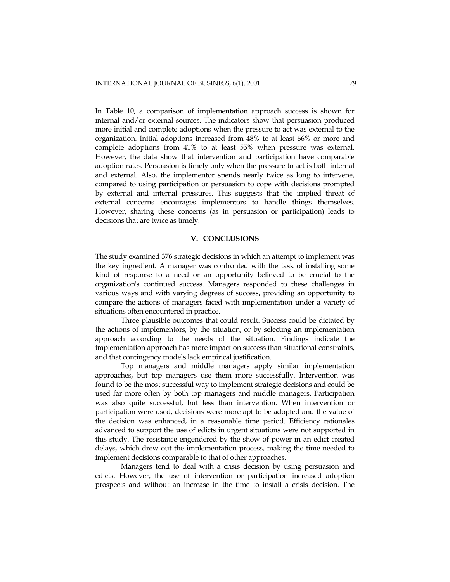In Table 10, a comparison of implementation approach success is shown for internal and/or external sources. The indicators show that persuasion produced more initial and complete adoptions when the pressure to act was external to the organization. Initial adoptions increased from 48% to at least 66% or more and complete adoptions from 41% to at least 55% when pressure was external. However, the data show that intervention and participation have comparable adoption rates. Persuasion is timely only when the pressure to act is both internal and external. Also, the implementor spends nearly twice as long to intervene, compared to using participation or persuasion to cope with decisions prompted by external and internal pressures. This suggests that the implied threat of external concerns encourages implementors to handle things themselves. However, sharing these concerns (as in persuasion or participation) leads to decisions that are twice as timely.

# **V. CONCLUSIONS**

The study examined 376 strategic decisions in which an attempt to implement was the key ingredient. A manager was confronted with the task of installing some kind of response to a need or an opportunity believed to be crucial to the organization's continued success. Managers responded to these challenges in various ways and with varying degrees of success, providing an opportunity to compare the actions of managers faced with implementation under a variety of situations often encountered in practice.

Three plausible outcomes that could result. Success could be dictated by the actions of implementors, by the situation, or by selecting an implementation approach according to the needs of the situation. Findings indicate the implementation approach has more impact on success than situational constraints, and that contingency models lack empirical justification.

Top managers and middle managers apply similar implementation approaches, but top managers use them more successfully. Intervention was found to be the most successful way to implement strategic decisions and could be used far more often by both top managers and middle managers. Participation was also quite successful, but less than intervention. When intervention or participation were used, decisions were more apt to be adopted and the value of the decision was enhanced, in a reasonable time period. Efficiency rationales advanced to support the use of edicts in urgent situations were not supported in this study. The resistance engendered by the show of power in an edict created delays, which drew out the implementation process, making the time needed to implement decisions comparable to that of other approaches.

Managers tend to deal with a crisis decision by using persuasion and edicts. However, the use of intervention or participation increased adoption prospects and without an increase in the time to install a crisis decision. The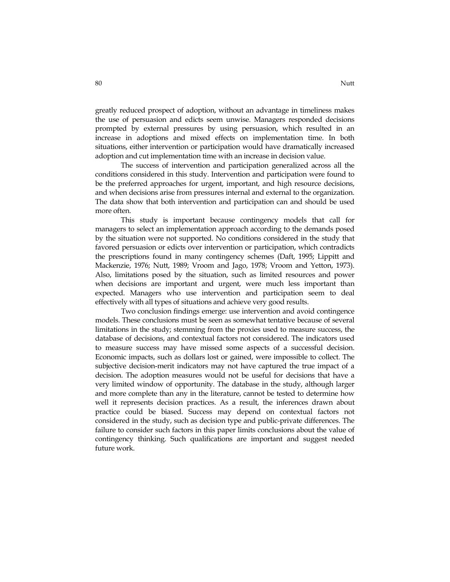greatly reduced prospect of adoption, without an advantage in timeliness makes the use of persuasion and edicts seem unwise. Managers responded decisions prompted by external pressures by using persuasion, which resulted in an increase in adoptions and mixed effects on implementation time. In both situations, either intervention or participation would have dramatically increased adoption and cut implementation time with an increase in decision value.

The success of intervention and participation generalized across all the conditions considered in this study. Intervention and participation were found to be the preferred approaches for urgent, important, and high resource decisions, and when decisions arise from pressures internal and external to the organization. The data show that both intervention and participation can and should be used more often.

This study is important because contingency models that call for managers to select an implementation approach according to the demands posed by the situation were not supported. No conditions considered in the study that favored persuasion or edicts over intervention or participation, which contradicts the prescriptions found in many contingency schemes (Daft, 1995; Lippitt and Mackenzie, 1976; Nutt, 1989; Vroom and Jago, 1978; Vroom and Yetton, 1973). Also, limitations posed by the situation, such as limited resources and power when decisions are important and urgent, were much less important than expected. Managers who use intervention and participation seem to deal effectively with all types of situations and achieve very good results.

Two conclusion findings emerge: use intervention and avoid contingence models. These conclusions must be seen as somewhat tentative because of several limitations in the study; stemming from the proxies used to measure success, the database of decisions, and contextual factors not considered. The indicators used to measure success may have missed some aspects of a successful decision. Economic impacts, such as dollars lost or gained, were impossible to collect. The subjective decision-merit indicators may not have captured the true impact of a decision. The adoption measures would not be useful for decisions that have a very limited window of opportunity. The database in the study, although larger and more complete than any in the literature, cannot be tested to determine how well it represents decision practices. As a result, the inferences drawn about practice could be biased. Success may depend on contextual factors not considered in the study, such as decision type and public-private differences. The failure to consider such factors in this paper limits conclusions about the value of contingency thinking. Such qualifications are important and suggest needed future work.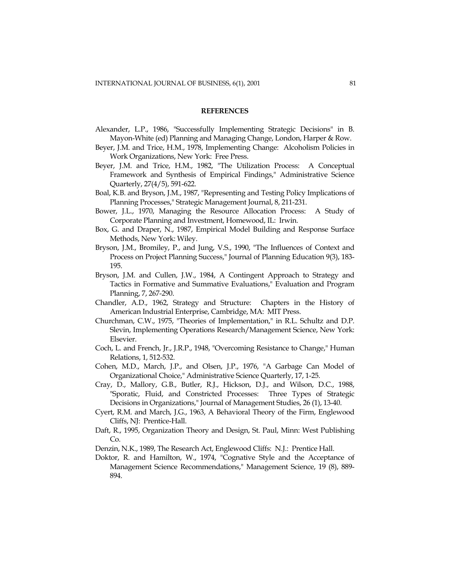#### **REFERENCES**

- Alexander, L.P., 1986, "Successfully Implementing Strategic Decisions" in B. Mayon-White (ed) Planning and Managing Change, London, Harper & Row.
- Beyer, J.M. and Trice, H.M., 1978, Implementing Change: Alcoholism Policies in Work Organizations, New York: Free Press.
- Beyer, J.M. and Trice, H.M., 1982, "The Utilization Process: A Conceptual Framework and Synthesis of Empirical Findings," Administrative Science Quarterly, 27(4/5), 591-622.
- Boal, K.B. and Bryson, J.M., 1987, "Representing and Testing Policy Implications of Planning Processes," Strategic Management Journal, 8, 211-231.
- Bower, J.L., 1970, Managing the Resource Allocation Process: A Study of Corporate Planning and Investment, Homewood, IL: Irwin.
- Box, G. and Draper, N., 1987, Empirical Model Building and Response Surface Methods, New York: Wiley.
- Bryson, J.M., Bromiley, P., and Jung, V.S., 1990, "The Influences of Context and Process on Project Planning Success," Journal of Planning Education 9(3), 183- 195.
- Bryson, J.M. and Cullen, J.W., 1984, A Contingent Approach to Strategy and Tactics in Formative and Summative Evaluations," Evaluation and Program Planning, 7, 267-290.
- Chandler, A.D., 1962, Strategy and Structure: Chapters in the History of American Industrial Enterprise, Cambridge, MA: MIT Press.
- Churchman, C.W., 1975, "Theories of Implementation," in R.L. Schultz and D.P. Slevin, Implementing Operations Research/Management Science, New York: Elsevier.
- Coch, L. and French, Jr., J.R.P., 1948, "Overcoming Resistance to Change," Human Relations, 1, 512-532.
- Cohen, M.D., March, J.P., and Olsen, J.P., 1976, "A Garbage Can Model of Organizational Choice," Administrative Science Quarterly, 17, 1-25.
- Cray, D., Mallory, G.B., Butler, R.J., Hickson, D.J., and Wilson, D.C., 1988, "Sporatic, Fluid, and Constricted Processes: Three Types of Strategic Decisions in Organizations," Journal of Management Studies, 26 (1), 13-40.
- Cyert, R.M. and March, J.G., 1963, A Behavioral Theory of the Firm, Englewood Cliffs, NJ: Prentice-Hall.
- Daft, R., 1995, Organization Theory and Design, St. Paul, Minn: West Publishing Co.
- Denzin, N.K., 1989, The Research Act, Englewood Cliffs: N.J.: Prentice Hall.
- Doktor, R. and Hamilton, W., 1974, "Cognative Style and the Acceptance of Management Science Recommendations," Management Science, 19 (8), 889- 894.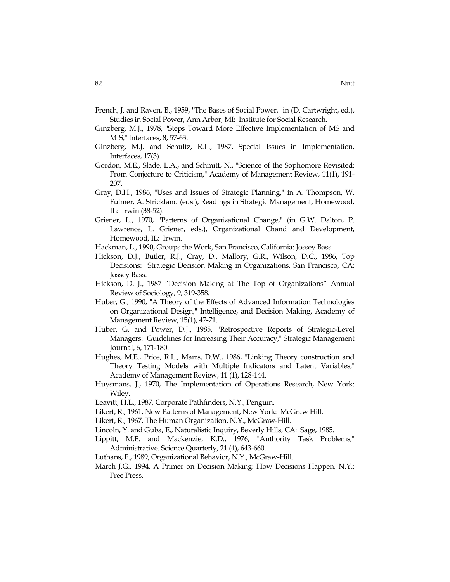- French, J. and Raven, B., 1959, "The Bases of Social Power," in (D. Cartwright, ed.), Studies in Social Power, Ann Arbor, MI: Institute for Social Research.
- Ginzberg, M.J., 1978, "Steps Toward More Effective Implementation of MS and MIS," Interfaces, 8, 57-63.
- Ginzberg, M.J. and Schultz, R.L., 1987, Special Issues in Implementation, Interfaces, 17(3).
- Gordon, M.E., Slade, L.A., and Schmitt, N., "Science of the Sophomore Revisited: From Conjecture to Criticism," Academy of Management Review, 11(1), 191- 207.
- Gray, D.H., 1986, "Uses and Issues of Strategic Planning," in A. Thompson, W. Fulmer, A. Strickland (eds.), Readings in Strategic Management, Homewood, IL: Irwin (38-52).
- Griener, L., 1970, "Patterns of Organizational Change," (in G.W. Dalton, P. Lawrence, L. Griener, eds.), Organizational Chand and Development, Homewood, IL: Irwin.
- Hackman, L., 1990, Groups the Work, San Francisco, California: Jossey Bass.
- Hickson, D.J., Butler, R.J., Cray, D., Mallory, G.R., Wilson, D.C., 1986, Top Decisions: Strategic Decision Making in Organizations, San Francisco, CA: Jossey Bass.
- Hickson, D. J., 1987 "Decision Making at The Top of Organizations" Annual Review of Sociology, 9, 319-358.
- Huber, G., 1990, "A Theory of the Effects of Advanced Information Technologies on Organizational Design," Intelligence, and Decision Making, Academy of Management Review, 15(1), 47-71.
- Huber, G. and Power, D.J., 1985, "Retrospective Reports of Strategic-Level Managers: Guidelines for Increasing Their Accuracy," Strategic Management Journal, 6, 171-180.
- Hughes, M.E., Price, R.L., Marrs, D.W., 1986, "Linking Theory construction and Theory Testing Models with Multiple Indicators and Latent Variables," Academy of Management Review, 11 (1), 128-144.
- Huysmans, J., 1970, The Implementation of Operations Research, New York: Wiley.
- Leavitt, H.L., 1987, Corporate Pathfinders, N.Y., Penguin.
- Likert, R., 1961, New Patterns of Management, New York: McGraw Hill.
- Likert, R., 1967, The Human Organization, N.Y., McGraw-Hill.
- Lincoln, Y. and Guba, E., Naturalistic Inquiry, Beverly Hills, CA: Sage, 1985.
- Lippitt, M.E. and Mackenzie, K.D., 1976, "Authority Task Problems," Administrative. Science Quarterly, 21 (4), 643-660.
- Luthans, F., 1989, Organizational Behavior, N.Y., McGraw-Hill.
- March J.G., 1994, A Primer on Decision Making: How Decisions Happen, N.Y.: Free Press.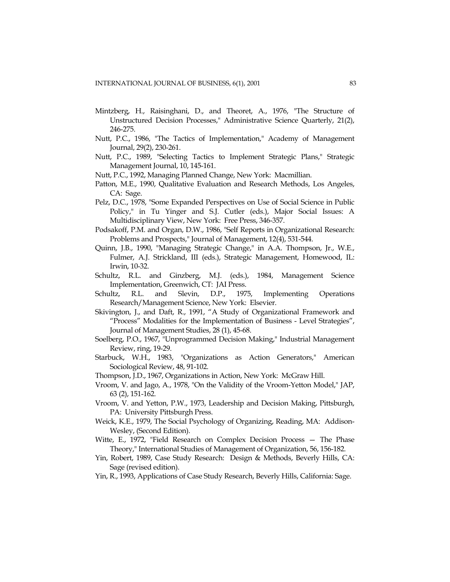- Mintzberg, H., Raisinghani, D., and Theoret, A., 1976, "The Structure of Unstructured Decision Processes," Administrative Science Quarterly, 21(2), 246-275.
- Nutt, P.C., 1986, "The Tactics of Implementation," Academy of Management Journal, 29(2), 230-261.
- Nutt, P.C., 1989, "Selecting Tactics to Implement Strategic Plans," Strategic Management Journal, 10, 145-161.
- Nutt, P.C., 1992, Managing Planned Change, New York: Macmillian.
- Patton, M.E., 1990, Qualitative Evaluation and Research Methods, Los Angeles, CA: Sage.
- Pelz, D.C., 1978, "Some Expanded Perspectives on Use of Social Science in Public Policy," in Tu Yinger and S.J. Cutler (eds.), Major Social Issues: A Multidisciplinary View, New York: Free Press, 346-357.
- Podsakoff, P.M. and Organ, D.W., 1986, "Self Reports in Organizational Research: Problems and Prospects," Journal of Management, 12(4), 531-544.
- Quinn, J.B., 1990, "Managing Strategic Change," in A.A. Thompson, Jr., W.E., Fulmer, A.J. Strickland, III (eds.), Strategic Management, Homewood, IL: Irwin, 10-32.
- Schultz, R.L. and Ginzberg, M.J. (eds.), 1984, Management Science Implementation, Greenwich, CT: JAI Press.
- Schultz, R.L. and Slevin, D.P., 1975, Implementing Operations Research/Management Science, New York: Elsevier.
- Skivington, J., and Daft, R., 1991, "A Study of Organizational Framework and "Process" Modalities for the Implementation of Business - Level Strategies", Journal of Management Studies, 28 (1), 45-68.
- Soelberg, P.O., 1967, "Unprogrammed Decision Making," Industrial Management Review, ring, 19-29.
- Starbuck, W.H., 1983, "Organizations as Action Generators," American Sociological Review, 48, 91-102.
- Thompson, J.D., 1967, Organizations in Action, New York: McGraw Hill.
- Vroom, V. and Jago, A., 1978, "On the Validity of the Vroom-Yetton Model," JAP, 63 (2), 151-162.
- Vroom, V. and Yetton, P.W., 1973, Leadership and Decision Making, Pittsburgh, PA: University Pittsburgh Press.
- Weick, K.E., 1979, The Social Psychology of Organizing, Reading, MA: Addison-Wesley, (Second Edition).
- Witte, E., 1972, "Field Research on Complex Decision Process The Phase Theory," International Studies of Management of Organization, 56, 156-182.
- Yin, Robert, 1989, Case Study Research: Design & Methods, Beverly Hills, CA: Sage (revised edition).
- Yin, R., 1993, Applications of Case Study Research, Beverly Hills, California: Sage.